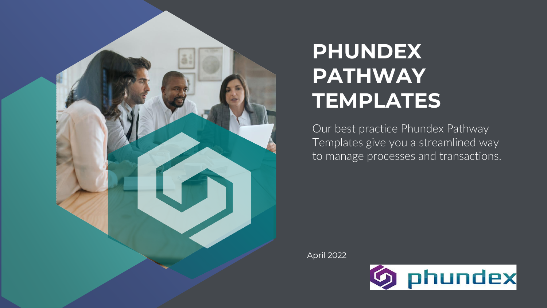

# **PHUNDEX PATHWAY TEMPLATES**

Our best practice Phundex Pathway Templates give you a streamlined way to manage processes and transactions.

April 2022

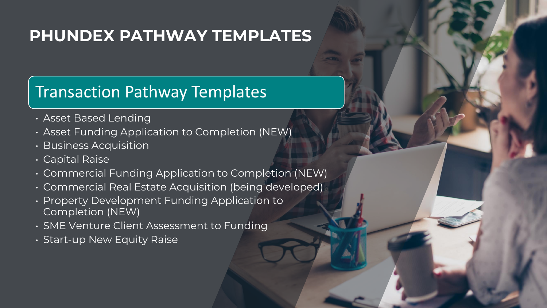## **PHUNDEX PATHWAY TEMPLATES**

### Transaction Pathway Templates

- Asset Based Lending
- Asset Funding Application to Completion (NEW)
- Business Acquisition
- Capital Raise
- Commercial Funding Application to Completion (NEW)
- Commercial Real Estate Acquisition (being developed)
- Property Development Funding Application to Completion (NEW)
- SME Venture Client Assessment to Funding
- Start-up New Equity Raise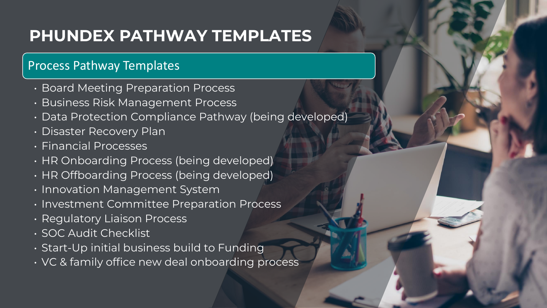## **PHUNDEX PATHWAY TEMPLATES**

#### Process Pathway Templates

- Board Meeting Preparation Process
- Business Risk Management Process
- Data Protection Compliance Pathway (being developed)
- Disaster Recovery Plan
- Financial Processes
- HR Onboarding Process (being developed)
- HR Offboarding Process (being developed)
- Innovation Management System
- Investment Committee Preparation Process
- Regulatory Liaison Process
- SOC Audit Checklist
- Start-Up initial business build to Funding
- VC & family office new deal onboarding process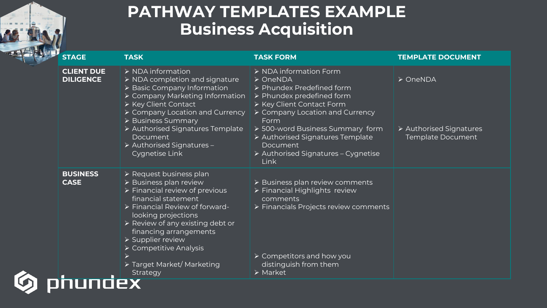

| <b>STAGE</b>                          | <b>TASK</b>                                                                                                                                                                                                                                                                                                        | <b>TASK FORM</b>                                                                                                                                                                                                                                                                                               | <b>TEMPLATE DOCUMENT</b>                                 |
|---------------------------------------|--------------------------------------------------------------------------------------------------------------------------------------------------------------------------------------------------------------------------------------------------------------------------------------------------------------------|----------------------------------------------------------------------------------------------------------------------------------------------------------------------------------------------------------------------------------------------------------------------------------------------------------------|----------------------------------------------------------|
| <b>CLIENT DUE</b><br><b>DILIGENCE</b> | > NDA information<br>$\triangleright$ NDA completion and signature<br>> Basic Company Information<br>▶ Company Marketing Information<br>> Key Client Contact<br>Company Location and Currency<br>> Business Summary<br>> Authorised Signatures Template<br>Document<br>> Authorised Signatures -<br>Cygnetise Link | > NDA information Form<br>> OneNDA<br>> Phundex Predefined form<br>$\triangleright$ Phundex predefined form<br>> Key Client Contact Form<br>> Company Location and Currency<br>Form<br>> 500-word Business Summary form<br>> Authorised Signatures Template<br>Document<br>> Authorised Signatures - Cygnetise | > OneNDA<br>> Authorised Signatures<br>Template Document |
|                                       |                                                                                                                                                                                                                                                                                                                    | <b>Link</b>                                                                                                                                                                                                                                                                                                    |                                                          |
| <b>BUSINESS</b><br><b>CASE</b>        | > Request business plan<br>> Business plan review<br>> Financial review of previous<br>financial statement<br>> Financial Review of forward-<br>looking projections<br>> Review of any existing debt or<br>financing arrangements<br>$\triangleright$ Supplier review<br>> Competitive Analysis                    | > Business plan review comments<br>> Financial Highlights review<br>comments<br>> Financials Projects review comments                                                                                                                                                                                          |                                                          |
|                                       | $\blacktriangleright$<br>≻ Target Market/ Marketing<br>Strategy                                                                                                                                                                                                                                                    | $\triangleright$ Competitors and how you<br>distinguish from them<br>$\triangleright$ Market                                                                                                                                                                                                                   |                                                          |
|                                       |                                                                                                                                                                                                                                                                                                                    |                                                                                                                                                                                                                                                                                                                |                                                          |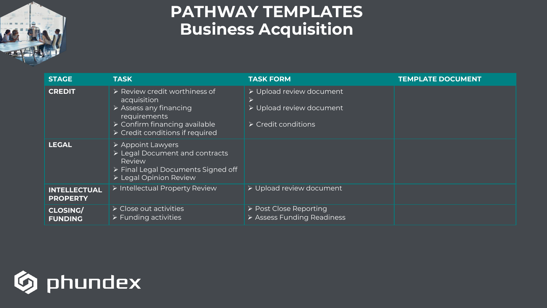

#### **PATHWAY TEMPLATES Business Acquisition**

| <b>STAGE</b>                           | <b>TASK</b>                                                                                                                                                                                             | <b>TASK FORM</b>                                                                           | <b>TEMPLATE DOCUMENT</b> |
|----------------------------------------|---------------------------------------------------------------------------------------------------------------------------------------------------------------------------------------------------------|--------------------------------------------------------------------------------------------|--------------------------|
| <b>CREDIT</b>                          | ▶ Review credit worthiness of<br>acquisition<br>$\triangleright$ Assess any financing<br>requirements<br>$\triangleright$ Confirm financing available<br>$\triangleright$ Credit conditions if required | ▶ Upload review document<br>▶ Upload review document<br>$\triangleright$ Credit conditions |                          |
| <b>LEGAL</b>                           | ▶ Appoint Lawyers<br>> Legal Document and contracts<br>Review<br>> Final Legal Documents Signed off<br>▶ Legal Opinion Review                                                                           |                                                                                            |                          |
| <b>INTELLECTUAL</b><br><b>PROPERTY</b> | > Intellectual Property Review                                                                                                                                                                          | > Upload review document                                                                   |                          |
| <b>CLOSING/</b><br><b>FUNDING</b>      | $\triangleright$ Close out activities<br>$\triangleright$ Funding activities                                                                                                                            | ▶ Post Close Reporting<br>> Assess Funding Readiness                                       |                          |